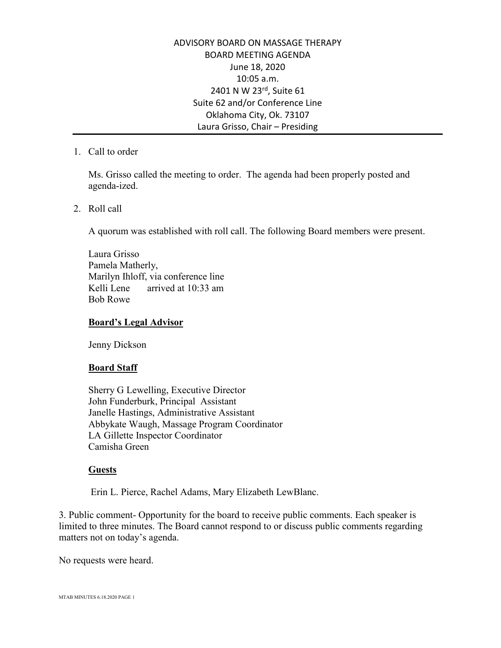ADVISORY BOARD ON MASSAGE THERAPY BOARD MEETING AGENDA June 18, 2020 10:05 a.m. 2401 N W 23rd, Suite 61 Suite 62 and/or Conference Line Oklahoma City, Ok. 73107 Laura Grisso, Chair – Presiding

## 1. Call to order

Ms. Grisso called the meeting to order. The agenda had been properly posted and agenda-ized.

# 2. Roll call

A quorum was established with roll call. The following Board members were present.

Laura Grisso Pamela Matherly, Marilyn Ihloff, via conference line Kelli Lene arrived at 10:33 am Bob Rowe

## **Board's Legal Advisor**

Jenny Dickson

### **Board Staff**

Sherry G Lewelling, Executive Director John Funderburk, Principal Assistant Janelle Hastings, Administrative Assistant Abbykate Waugh, Massage Program Coordinator LA Gillette Inspector Coordinator Camisha Green

### **Guests**

Erin L. Pierce, Rachel Adams, Mary Elizabeth LewBlanc.

3. Public comment- Opportunity for the board to receive public comments. Each speaker is limited to three minutes. The Board cannot respond to or discuss public comments regarding matters not on today's agenda.

No requests were heard.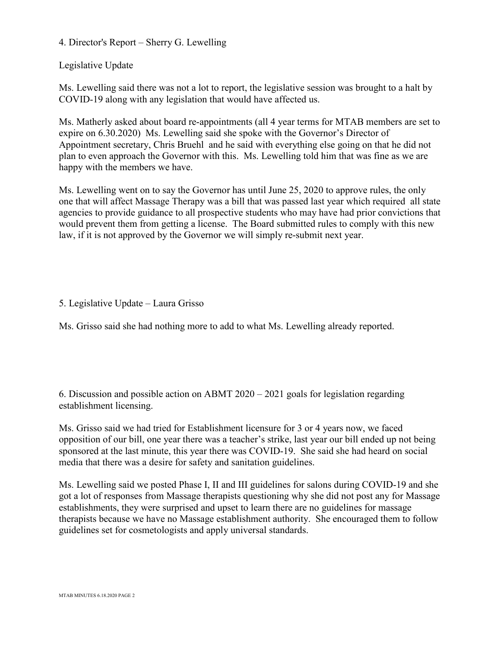4. Director's Report – Sherry G. Lewelling

Legislative Update

Ms. Lewelling said there was not a lot to report, the legislative session was brought to a halt by COVID-19 along with any legislation that would have affected us.

Ms. Matherly asked about board re-appointments (all 4 year terms for MTAB members are set to expire on 6.30.2020) Ms. Lewelling said she spoke with the Governor's Director of Appointment secretary, Chris Bruehl and he said with everything else going on that he did not plan to even approach the Governor with this. Ms. Lewelling told him that was fine as we are happy with the members we have.

Ms. Lewelling went on to say the Governor has until June 25, 2020 to approve rules, the only one that will affect Massage Therapy was a bill that was passed last year which required all state agencies to provide guidance to all prospective students who may have had prior convictions that would prevent them from getting a license. The Board submitted rules to comply with this new law, if it is not approved by the Governor we will simply re-submit next year.

5. Legislative Update – Laura Grisso

Ms. Grisso said she had nothing more to add to what Ms. Lewelling already reported.

6. Discussion and possible action on ABMT 2020 – 2021 goals for legislation regarding establishment licensing.

Ms. Grisso said we had tried for Establishment licensure for 3 or 4 years now, we faced opposition of our bill, one year there was a teacher's strike, last year our bill ended up not being sponsored at the last minute, this year there was COVID-19. She said she had heard on social media that there was a desire for safety and sanitation guidelines.

Ms. Lewelling said we posted Phase I, II and III guidelines for salons during COVID-19 and she got a lot of responses from Massage therapists questioning why she did not post any for Massage establishments, they were surprised and upset to learn there are no guidelines for massage therapists because we have no Massage establishment authority. She encouraged them to follow guidelines set for cosmetologists and apply universal standards.